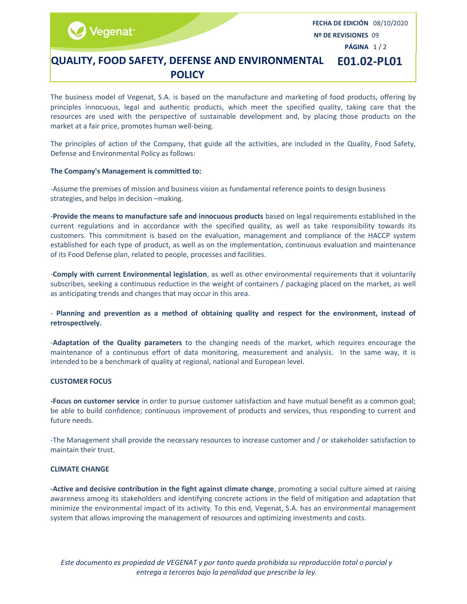/egenat<sup>®</sup>

FECHA DE EDICIÓN 08/10/2020 Nº DE REVISIONES 09

PÁGINA 1 / 2

#### QUALITY, FOOD SAFETY, DEFENSE AND ENVIRONMENTAL POLICY E01.02-PL01

The business model of Vegenat, S.A. is based on the manufacture and marketing of food products, offering by principles innocuous, legal and authentic products, which meet the specified quality, taking care that the resources are used with the perspective of sustainable development and, by placing those products on the market at a fair price, promotes human well-being.

The principles of action of the Company, that guide all the activities, are included in the Quality, Food Safety, Defense and Environmental Policy as follows:

### The Company's Management is committed to:

-Assume the premises of mission and business vision as fundamental reference points to design business strategies, and helps in decision –making.

-Provide the means to manufacture safe and innocuous products based on legal requirements established in the current regulations and in accordance with the specified quality, as well as take responsibility towards its customers. This commitment is based on the evaluation, management and compliance of the HACCP system established for each type of product, as well as on the implementation, continuous evaluation and maintenance of its Food Defense plan, related to people, processes and facilities.

-Comply with current Environmental legislation, as well as other environmental requirements that it voluntarily subscribes, seeking a continuous reduction in the weight of containers / packaging placed on the market, as well as anticipating trends and changes that may occur in this area.

### - Planning and prevention as a method of obtaining quality and respect for the environment, instead of retrospectively.

-Adaptation of the Quality parameters to the changing needs of the market, which requires encourage the maintenance of a continuous effort of data monitoring, measurement and analysis. In the same way, it is intended to be a benchmark of quality at regional, national and European level.

#### CUSTOMER FOCUS

-Focus on customer service in order to pursue customer satisfaction and have mutual benefit as a common goal; be able to build confidence; continuous improvement of products and services, thus responding to current and future needs.

-The Management shall provide the necessary resources to increase customer and / or stakeholder satisfaction to maintain their trust.

### CLIMATE CHANGE

-Active and decisive contribution in the fight against climate change, promoting a social culture aimed at raising awareness among its stakeholders and identifying concrete actions in the field of mitigation and adaptation that minimize the environmental impact of its activity. To this end, Vegenat, S.A. has an environmental management system that allows improving the management of resources and optimizing investments and costs.